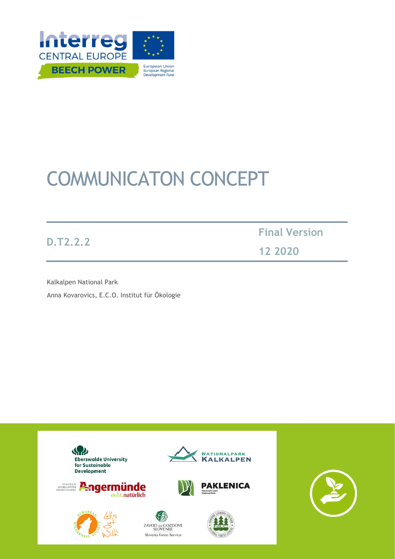

# COMMUNICATON CONCEPT

**D.T2.2.2**

**Final Version 12 2020**

Kalkalpen National Park Anna Kovarovics, E.C.O. Institut für Ökologie

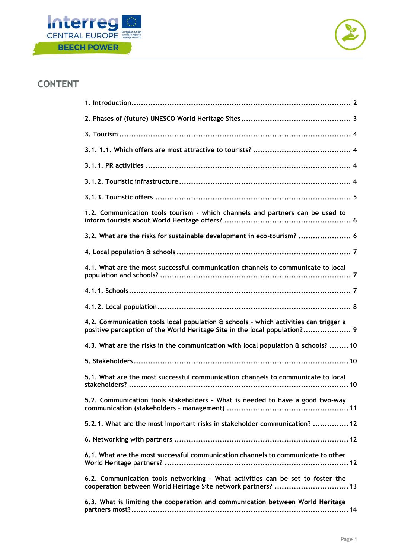



# **CONTENT**

| 1.2. Communication tools tourism - which channels and partners can be used to                                                                                     |
|-------------------------------------------------------------------------------------------------------------------------------------------------------------------|
| 3.2. What are the risks for sustainable development in eco-tourism?  6                                                                                            |
|                                                                                                                                                                   |
| 4.1. What are the most successful communication channels to communicate to local                                                                                  |
|                                                                                                                                                                   |
|                                                                                                                                                                   |
| 4.2. Communication tools local population & schools - which activities can trigger a<br>positive perception of the World Heritage Site in the local population? 9 |
| 4.3. What are the risks in the communication with local population & schools? 10                                                                                  |
|                                                                                                                                                                   |
| 5.1. What are the most successful communication channels to communicate to local                                                                                  |
| 5.2. Communication tools stakeholders - What is needed to have a good two-way                                                                                     |
| 5.2.1. What are the most important risks in stakeholder communication? 12                                                                                         |
|                                                                                                                                                                   |
| 6.1. What are the most successful communication channels to communicate to other                                                                                  |
| 6.2. Communication tools networking - What activities can be set to foster the<br>cooperation between World Heirtage Site network partners?  13                   |
| 6.3. What is limiting the cooperation and communication between World Heritage                                                                                    |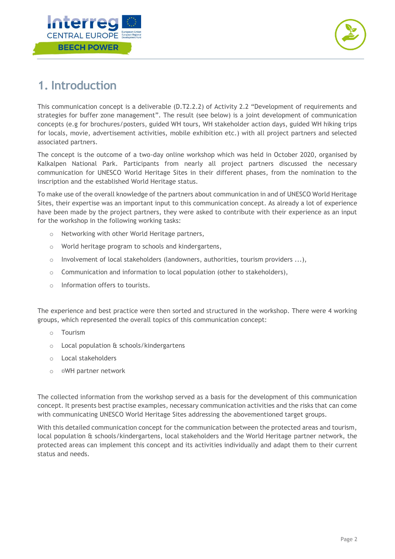



# <span id="page-2-0"></span>**1. Introduction**

This communication concept is a deliverable (D.T2.2.2) of Activity 2.2 "Development of requirements and strategies for buffer zone management". The result (see below) is a joint development of communication concepts (e.g for brochures/posters, guided WH tours, WH stakeholder action days, guided WH hiking trips for locals, movie, advertisement activities, mobile exhibition etc.) with all project partners and selected associated partners.

The concept is the outcome of a two-day online workshop which was held in October 2020, organised by Kalkalpen National Park. Participants from nearly all project partners discussed the necessary communication for UNESCO World Heritage Sites in their different phases, from the nomination to the inscription and the established World Heritage status.

To make use of the overall knowledge of the partners about communication in and of UNESCO World Heritage Sites, their expertise was an important input to this communication concept. As already a lot of experience have been made by the project partners, they were asked to contribute with their experience as an input for the workshop in the following working tasks:

- o Networking with other World Heritage partners,
- o World heritage program to schools and kindergartens,
- $\circ$  Involvement of local stakeholders (landowners, authorities, tourism providers ...),
- o Communication and information to local population (other to stakeholders),
- o Information offers to tourists.

The experience and best practice were then sorted and structured in the workshop. There were 4 working groups, which represented the overall topics of this communication concept:

- o Tourism
- o Local population & schools/kindergartens
- o Local stakeholders
- o WH partner network

The collected information from the workshop served as a basis for the development of this communication concept. It presents best practise examples, necessary communication activities and the risks that can come with communicating UNESCO World Heritage Sites addressing the abovementioned target groups.

With this detailed communication concept for the communication between the protected areas and tourism, local population & schools/kindergartens, local stakeholders and the World Heritage partner network, the protected areas can implement this concept and its activities individually and adapt them to their current status and needs.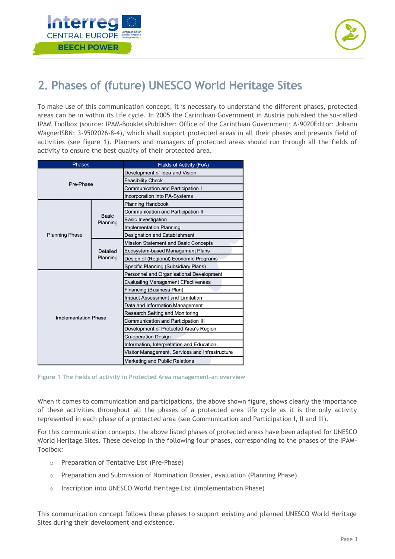



# <span id="page-3-0"></span>**2. Phases of (future) UNESCO World Heritage Sites**

To make use of this communication concept, it is necessary to understand the different phases, protected areas can be in within its life cycle. In 2005 the Carinthian Government in Austria published the so-called IPAM Toolbox (source: IPAM-BookletsPublisher: Office of the Carinthian Government; A-9020Editor: Johann WagnerISBN: 3-9502026-8-4), which shall support protected areas in all their phases and presents field of activities (see figure 1). Planners and managers of protected areas should run through all the fields of activity to ensure the best quality of their protected area.

| <b>Phases</b>               |                      | Fields of Activity (FoA)                        |
|-----------------------------|----------------------|-------------------------------------------------|
| Pre-Phase                   |                      | Development of Idea and Vision                  |
|                             |                      | <b>Feasibility Check</b>                        |
|                             |                      | Communication and Participation I               |
|                             |                      | Incorporation into PA-Systems                   |
| <b>Planning Phase</b>       | Basic<br>Planning    | <b>Planning Handbook</b>                        |
|                             |                      | Communication and Participation II              |
|                             |                      | <b>Basic Investigation</b>                      |
|                             |                      | Implementation Planning                         |
|                             |                      | Designation and Establishment                   |
|                             | Detailed<br>Planning | Mission Statement and Basic Concepts            |
|                             |                      | Ecosystem-based Management Plans                |
|                             |                      | Design of (Regional) Economic Programs          |
|                             |                      | Specific Planning (Subsidiary Plans)            |
|                             |                      | Personnel and Organisational Development        |
|                             |                      | <b>Evaluating Management Effectiveness</b>      |
|                             |                      | Financing (Business Plan)                       |
|                             |                      | Impact Assessment and Limitation                |
|                             |                      | Data and Information Management                 |
|                             |                      | Research Setting and Monitoring                 |
| <b>Implementation Phase</b> |                      | Communication and Participation III             |
|                             |                      | Development of Protected Area's Region          |
|                             |                      | Co-operation Design                             |
|                             |                      | Information, Interpretation and Education       |
|                             |                      | Visitor Management, Services and Infrastructure |
|                             |                      | Marketing and Public Relations                  |

**Figure 1 The fields of activity in Protected Area management-an overview**

When it comes to communication and participations, the above shown figure, shows clearly the importance of these activities throughout all the phases of a protected area life cycle as it is the only activity represented in each phase of a protected area (see Communication and Participation I, II and III).

For this communication concepts, the above listed phases of protected areas have been adapted for UNESCO World Heritage Sites. These develop in the following four phases, corresponding to the phases of the IPAM-Toolbox:

- o Preparation of Tentative List (Pre-Phase)
- o Preparation and Submission of Nomination Dossier, evaluation (Planning Phase)
- o Inscription into UNESCO World Heritage List (Implementation Phase)

This communication concept follows these phases to support existing and planned UNESCO World Heritage Sites during their development and existence.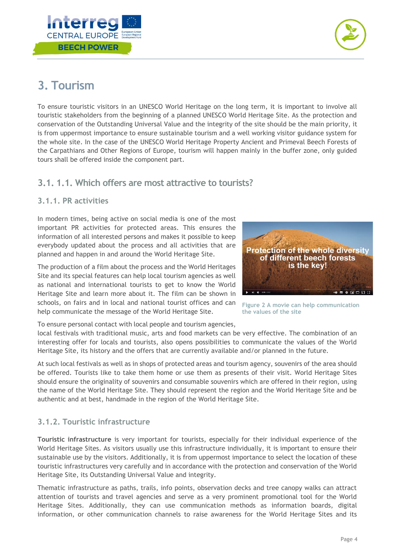



# <span id="page-4-0"></span>**3. Tourism**

To ensure touristic visitors in an UNESCO World Heritage on the long term, it is important to involve all touristic stakeholders from the beginning of a planned UNESCO World Heritage Site. As the protection and conservation of the Outstanding Universal Value and the integrity of the site should be the main priority, it is from uppermost importance to ensure sustainable tourism and a well working visitor guidance system for the whole site. In the case of the UNESCO World Heritage Property Ancient and Primeval Beech Forests of the Carpathians and Other Regions of Europe, tourism will happen mainly in the buffer zone, only guided tours shall be offered inside the component part.

# <span id="page-4-1"></span>**3.1. 1.1. Which offers are most attractive to tourists?**

#### <span id="page-4-2"></span>**3.1.1. PR activities**

In modern times, being active on social media is one of the most important PR activities for protected areas. This ensures the information of all interested persons and makes it possible to keep everybody updated about the process and all activities that are planned and happen in and around the World Heritage Site.

The production of a film about the process and the World Heritages Site and its special features can help local tourism agencies as well as national and international tourists to get to know the World Heritage Site and learn more about it. The film can be shown in schools, on fairs and in local and national tourist offices and can help communicate the message of the World Heritage Site.

**Protection of the whole diversity** of different beech forests is the key! 

**Figure 2 A movie can help communication the values of the site**

To ensure personal contact with local people and tourism agencies,

local festivals with traditional music, arts and food markets can be very effective. The combination of an interesting offer for locals and tourists, also opens possibilities to communicate the values of the World Heritage Site, its history and the offers that are currently available and/or planned in the future.

At such local festivals as well as in shops of protected areas and tourism agency, souvenirs of the area should be offered. Tourists like to take them home or use them as presents of their visit. World Heritage Sites should ensure the originality of souvenirs and consumable souvenirs which are offered in their region, using the name of the World Heritage Site. They should represent the region and the World Heritage Site and be authentic and at best, handmade in the region of the World Heritage Site.

### <span id="page-4-3"></span>**3.1.2. Touristic infrastructure**

**Touristic infrastructure** is very important for tourists, especially for their individual experience of the World Heritage Sites. As visitors usually use this infrastructure individually, it is important to ensure their sustainable use by the visitors. Additionally, it is from uppermost importance to select the location of these touristic infrastructures very carefully and in accordance with the protection and conservation of the World Heritage Site, its Outstanding Universal Value and integrity.

Thematic infrastructure as paths, trails, info points, observation decks and tree canopy walks can attract attention of tourists and travel agencies and serve as a very prominent promotional tool for the World Heritage Sites. Additionally, they can use communication methods as information boards, digital information, or other communication channels to raise awareness for the World Heritage Sites and its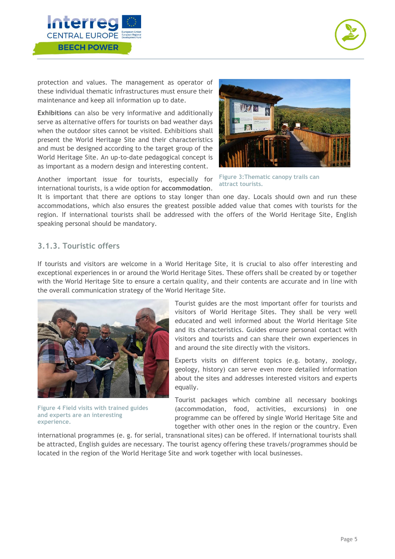



protection and values. The management as operator of these individual thematic infrastructures must ensure their maintenance and keep all information up to date.

**Exhibitions** can also be very informative and additionally serve as alternative offers for tourists on bad weather days when the outdoor sites cannot be visited. Exhibitions shall present the World Heritage Site and their characteristics and must be designed according to the target group of the World Heritage Site. An up-to-date pedagogical concept is as important as a modern design and interesting content.



Another important issue for tourists, especially for international tourists, is a wide option for **accommodation**.

It is important that there are options to stay longer than one day. Locals should own and run these accommodations, which also ensures the greatest possible added value that comes with tourists for the region. If international tourists shall be addressed with the offers of the World Heritage Site, English speaking personal should be mandatory.

#### <span id="page-5-0"></span>**3.1.3. Touristic offers**

If tourists and visitors are welcome in a World Heritage Site, it is crucial to also offer interesting and exceptional experiences in or around the World Heritage Sites. These offers shall be created by or together with the World Heritage Site to ensure a certain quality, and their contents are accurate and in line with the overall communication strategy of the World Heritage Site.



**Figure 4 Field visits with trained guides and experts are an interesting experience.**

Tourist guides are the most important offer for tourists and visitors of World Heritage Sites. They shall be very well educated and well informed about the World Heritage Site and its characteristics. Guides ensure personal contact with visitors and tourists and can share their own experiences in and around the site directly with the visitors.

Experts visits on different topics (e.g. botany, zoology, geology, history) can serve even more detailed information about the sites and addresses interested visitors and experts equally.

Tourist packages which combine all necessary bookings (accommodation, food, activities, excursions) in one programme can be offered by single World Heritage Site and together with other ones in the region or the country. Even

international programmes (e. g. for serial, transnational sites) can be offered. If international tourists shall be attracted, English guides are necessary. The tourist agency offering these travels/programmes should be located in the region of the World Heritage Site and work together with local businesses.

**Figure 3:Thematic canopy trails can attract tourists.**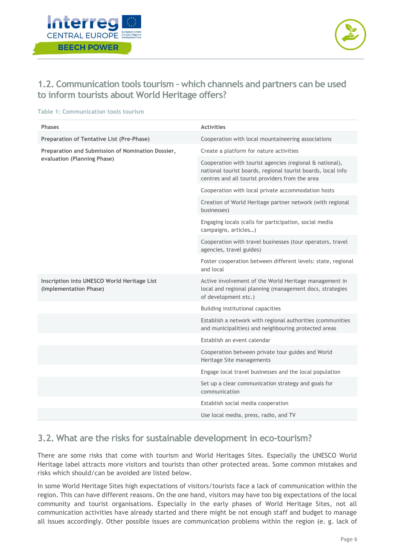



# <span id="page-6-0"></span>**1.2. Communication tools tourism – which channels and partners can be used to inform tourists about World Heritage offers?**

| <b>Phases</b>                                                                    | <b>Activities</b>                                                                                                                                                           |
|----------------------------------------------------------------------------------|-----------------------------------------------------------------------------------------------------------------------------------------------------------------------------|
| Preparation of Tentative List (Pre-Phase)                                        | Cooperation with local mountaineering associations                                                                                                                          |
| Preparation and Submission of Nomination Dossier,<br>evaluation (Planning Phase) | Create a platform for nature activities                                                                                                                                     |
|                                                                                  | Cooperation with tourist agencies (regional & national),<br>national tourist boards, regional tourist boards, local info<br>centres and all tourist providers from the area |
|                                                                                  | Cooperation with local private accommodation hosts                                                                                                                          |
|                                                                                  | Creation of World Heritage partner network (with regional<br>businesses)                                                                                                    |
|                                                                                  | Engaging locals (calls for participation, social media<br>campaigns, articles)                                                                                              |
|                                                                                  | Cooperation with travel businesses (tour operators, travel<br>agencies, travel guides)                                                                                      |
|                                                                                  | Foster cooperation between different levels: state, regional<br>and local                                                                                                   |
| Inscription into UNESCO World Heritage List<br>(Implementation Phase)            | Active involvement of the World Heritage management in<br>local and regional planning (management docs, strategies<br>of development etc.)                                  |
|                                                                                  | Building institutional capacities                                                                                                                                           |
|                                                                                  | Establish a network with regional authorities (communities<br>and municipalities) and neighbouring protected areas                                                          |
|                                                                                  | Establish an event calendar                                                                                                                                                 |
|                                                                                  | Cooperation between private tour guides and World<br>Heritage Site managements                                                                                              |
|                                                                                  | Engage local travel businesses and the local population                                                                                                                     |
|                                                                                  | Set up a clear communication strategy and goals for<br>communication                                                                                                        |
|                                                                                  | Establish social media cooperation                                                                                                                                          |
|                                                                                  | Use local media, press, radio, and TV                                                                                                                                       |

#### **Table 1: Communication tools tourism**

### <span id="page-6-1"></span>**3.2. What are the risks for sustainable development in eco-tourism?**

There are some risks that come with tourism and World Heritages Sites. Especially the UNESCO World Heritage label attracts more visitors and tourists than other protected areas. Some common mistakes and risks which should/can be avoided are listed below.

In some World Heritage Sites high expectations of visitors/tourists face a lack of communication within the region. This can have different reasons. On the one hand, visitors may have too big expectations of the local community and tourist organisations. Especially in the early phases of World Heritage Sites, not all communication activities have already started and there might be not enough staff and budget to manage all issues accordingly. Other possible issues are communication problems within the region (e. g. lack of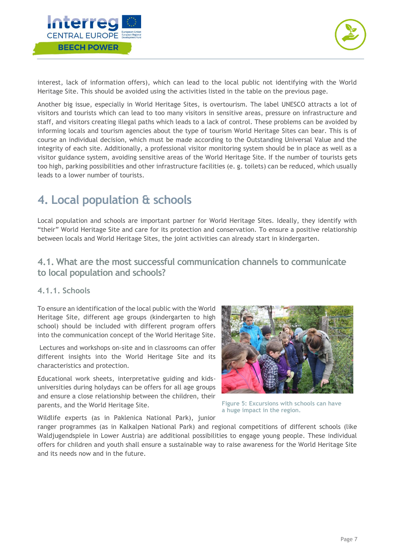



interest, lack of information offers), which can lead to the local public not identifying with the World Heritage Site. This should be avoided using the activities listed in the table on the previous page.

Another big issue, especially in World Heritage Sites, is overtourism. The label UNESCO attracts a lot of visitors and tourists which can lead to too many visitors in sensitive areas, pressure on infrastructure and staff, and visitors creating illegal paths which leads to a lack of control. These problems can be avoided by informing locals and tourism agencies about the type of tourism World Heritage Sites can bear. This is of course an individual decision, which must be made according to the Outstanding Universal Value and the integrity of each site. Additionally, a professional visitor monitoring system should be in place as well as a visitor guidance system, avoiding sensitive areas of the World Heritage Site. If the number of tourists gets too high, parking possibilities and other infrastructure facilities (e. g. toilets) can be reduced, which usually leads to a lower number of tourists.

# <span id="page-7-0"></span>**4. Local population & schools**

Local population and schools are important partner for World Heritage Sites. Ideally, they identify with "their" World Heritage Site and care for its protection and conservation. To ensure a positive relationship between locals and World Heritage Sites, the joint activities can already start in kindergarten.

### <span id="page-7-1"></span>**4.1. What are the most successful communication channels to communicate to local population and schools?**

#### <span id="page-7-2"></span>**4.1.1. Schools**

To ensure an identification of the local public with the World Heritage Site, different age groups (kindergarten to high school) should be included with different program offers into the communication concept of the World Heritage Site.

Lectures and workshops on-site and in classrooms can offer different insights into the World Heritage Site and its characteristics and protection.

Educational work sheets, interpretative guiding and kidsuniversities during holydays can be offers for all age groups and ensure a close relationship between the children, their parents, and the World Heritage Site.

Wildlife experts (as in Paklenica National Park), junior



**Figure 5: Excursions with schools can have a huge impact in the region.**

ranger programmes (as in Kalkalpen National Park) and regional competitions of different schools (like Waldjugendspiele in Lower Austria) are additional possibilities to engage young people. These individual offers for children and youth shall ensure a sustainable way to raise awareness for the World Heritage Site and its needs now and in the future.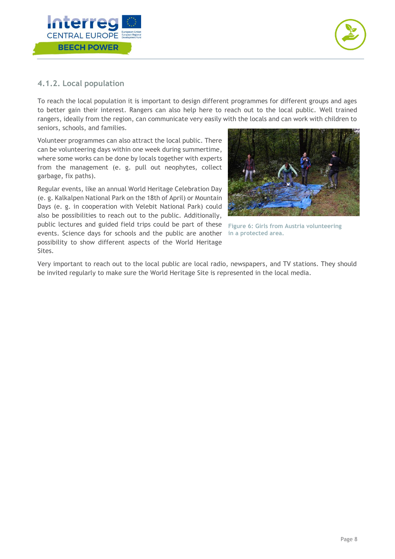



#### <span id="page-8-0"></span>**4.1.2. Local population**

To reach the local population it is important to design different programmes for different groups and ages to better gain their interest. Rangers can also help here to reach out to the local public. Well trained rangers, ideally from the region, can communicate very easily with the locals and can work with children to seniors, schools, and families.

Volunteer programmes can also attract the local public. There can be volunteering days within one week during summertime, where some works can be done by locals together with experts from the management (e. g. pull out neophytes, collect garbage, fix paths).

Regular events, like an annual World Heritage Celebration Day (e. g. Kalkalpen National Park on the 18th of April) or Mountain Days (e. g. in cooperation with Velebit National Park) could also be possibilities to reach out to the public. Additionally, public lectures and guided field trips could be part of these **Figure 6: Girls from Austria volunteering**  events. Science days for schools and the public are another **in a protected area.**possibility to show different aspects of the World Heritage Sites.



Very important to reach out to the local public are local radio, newspapers, and TV stations. They should be invited regularly to make sure the World Heritage Site is represented in the local media.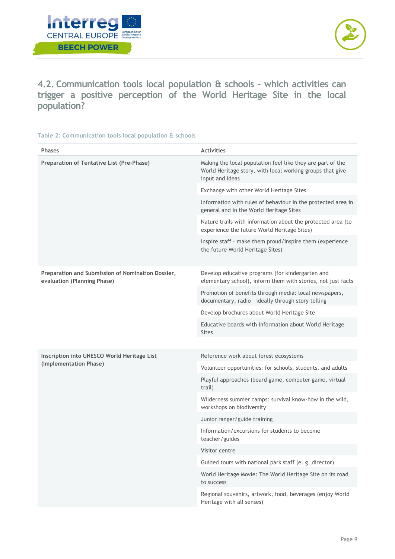



<span id="page-9-0"></span>**4.2. Communication tools local population & schools – which activities can trigger a positive perception of the World Heritage Site in the local population?**

#### **Table 2: Communication tools local population & schools**

| <b>Phases</b>                                                                    | <b>Activities</b>                                                                                                                          |
|----------------------------------------------------------------------------------|--------------------------------------------------------------------------------------------------------------------------------------------|
| Preparation of Tentative List (Pre-Phase)                                        | Making the local population feel like they are part of the<br>World Heritage story, with local working groups that give<br>input and ideas |
|                                                                                  | Exchange with other World Heritage Sites                                                                                                   |
|                                                                                  | Information with rules of behaviour in the protected area in<br>general and in the World Heritage Sites                                    |
|                                                                                  | Nature trails with information about the protected area (to<br>experience the future World Heritage Sites)                                 |
|                                                                                  | Inspire staff - make them proud/inspire them (experience<br>the future World Heritage Sites)                                               |
| Preparation and Submission of Nomination Dossier,<br>evaluation (Planning Phase) | Develop educative programs (for kindergarten and<br>elementary school), inform them with stories, not just facts                           |
|                                                                                  | Promotion of benefits through media: local newspapers,<br>documentary, radio - ideally through story telling                               |
|                                                                                  | Develop brochures about World Heritage Site                                                                                                |
|                                                                                  | Educative boards with information about World Heritage<br><b>Sites</b>                                                                     |
|                                                                                  |                                                                                                                                            |
| Inscription into UNESCO World Heritage List<br>(Implementation Phase)            | Reference work about forest ecosystems                                                                                                     |
|                                                                                  | Volunteer opportunities: for schools, students, and adults                                                                                 |
|                                                                                  | Playful approaches (board game, computer game, virtual<br>trail)                                                                           |
|                                                                                  | Wilderness summer camps: survival know-how in the wild,<br>workshops on biodiversity                                                       |
|                                                                                  | Junior ranger/guide training                                                                                                               |
|                                                                                  | Information/excursions for students to become<br>teacher/guides                                                                            |
|                                                                                  | Visitor centre                                                                                                                             |
|                                                                                  | Guided tours with national park staff (e. g. director)                                                                                     |
|                                                                                  | World Heritage Movie: The World Heritage Site on its road<br>to success                                                                    |
|                                                                                  | Regional souvenirs, artwork, food, beverages (enjoy World<br>Heritage with all senses)                                                     |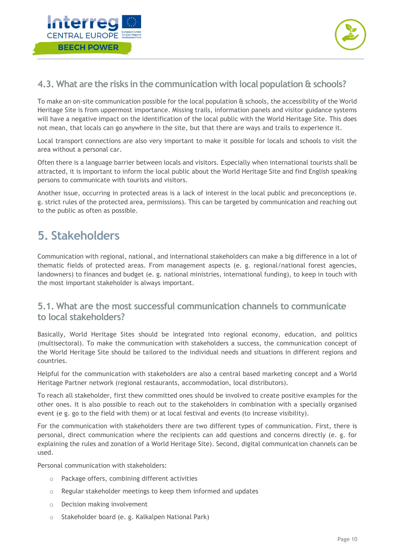



# <span id="page-10-0"></span>**4.3. What are the risks in the communication with local population & schools?**

To make an on-site communication possible for the local population & schools, the accessibility of the World Heritage Site is from uppermost importance. Missing trails, information panels and visitor guidance systems will have a negative impact on the identification of the local public with the World Heritage Site. This does not mean, that locals can go anywhere in the site, but that there are ways and trails to experience it.

Local transport connections are also very important to make it possible for locals and schools to visit the area without a personal car.

Often there is a language barrier between locals and visitors. Especially when international tourists shall be attracted, it is important to inform the local public about the World Heritage Site and find English speaking persons to communicate with tourists and visitors.

Another issue, occurring in protected areas is a lack of interest in the local public and preconceptions (e. g. strict rules of the protected area, permissions). This can be targeted by communication and reaching out to the public as often as possible.

# <span id="page-10-1"></span>**5. Stakeholders**

Communication with regional, national, and international stakeholders can make a big difference in a lot of thematic fields of protected areas. From management aspects (e. g. regional/national forest agencies, landowners) to finances and budget (e. g. national ministries, international funding), to keep in touch with the most important stakeholder is always important.

### <span id="page-10-2"></span>**5.1. What are the most successful communication channels to communicate to local stakeholders?**

Basically, World Heritage Sites should be integrated into regional economy, education, and politics (multisectoral). To make the communication with stakeholders a success, the communication concept of the World Heritage Site should be tailored to the individual needs and situations in different regions and countries.

Helpful for the communication with stakeholders are also a central based marketing concept and a World Heritage Partner network (regional restaurants, accommodation, local distributors).

To reach all stakeholder, first thew committed ones should be involved to create positive examples for the other ones. It is also possible to reach out to the stakeholders in combination with a specially organised event (e g. go to the field with them) or at local festival and events (to increase visibility).

For the communication with stakeholders there are two different types of communication. First, there is personal, direct communication where the recipients can add questions and concerns directly (e. g. for explaining the rules and zonation of a World Heritage Site). Second, digital communication channels can be used.

Personal communication with stakeholders:

- o Package offers, combining different activities
- o Regular stakeholder meetings to keep them informed and updates
- o Decision making involvement
- o Stakeholder board (e. g. Kalkalpen National Park)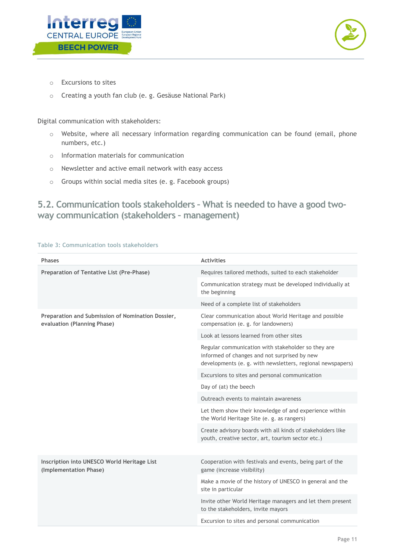



- o Excursions to sites
- o Creating a youth fan club (e. g. Gesäuse National Park)

Digital communication with stakeholders:

- o Website, where all necessary information regarding communication can be found (email, phone numbers, etc.)
- o Information materials for communication
- o Newsletter and active email network with easy access
- o Groups within social media sites (e. g. Facebook groups)

# <span id="page-11-0"></span>**5.2. Communication tools stakeholders – What is needed to have a good twoway communication (stakeholders – management)**

| <b>Phases</b>                                                                    | <b>Activities</b>                                                                                                                                                |
|----------------------------------------------------------------------------------|------------------------------------------------------------------------------------------------------------------------------------------------------------------|
| Preparation of Tentative List (Pre-Phase)                                        | Requires tailored methods, suited to each stakeholder                                                                                                            |
|                                                                                  | Communication strategy must be developed individually at<br>the beginning                                                                                        |
|                                                                                  | Need of a complete list of stakeholders                                                                                                                          |
| Preparation and Submission of Nomination Dossier,<br>evaluation (Planning Phase) | Clear communication about World Heritage and possible<br>compensation (e. g. for landowners)                                                                     |
|                                                                                  | Look at lessons learned from other sites                                                                                                                         |
|                                                                                  | Regular communication with stakeholder so they are<br>informed of changes and not surprised by new<br>developments (e. g. with newsletters, regional newspapers) |
|                                                                                  | Excursions to sites and personal communication                                                                                                                   |
|                                                                                  | Day of (at) the beech                                                                                                                                            |
|                                                                                  | Outreach events to maintain awareness                                                                                                                            |
|                                                                                  | Let them show their knowledge of and experience within<br>the World Heritage Site (e. g. as rangers)                                                             |
|                                                                                  | Create advisory boards with all kinds of stakeholders like<br>youth, creative sector, art, tourism sector etc.)                                                  |
|                                                                                  |                                                                                                                                                                  |
| Inscription into UNESCO World Heritage List<br>(Implementation Phase)            | Cooperation with festivals and events, being part of the<br>game (increase visibility)                                                                           |
|                                                                                  | Make a movie of the history of UNESCO in general and the<br>site in particular                                                                                   |
|                                                                                  | Invite other World Heritage managers and let them present<br>to the stakeholders, invite mayors                                                                  |
|                                                                                  | Excursion to sites and personal communication                                                                                                                    |

#### **Table 3: Communication tools stakeholders**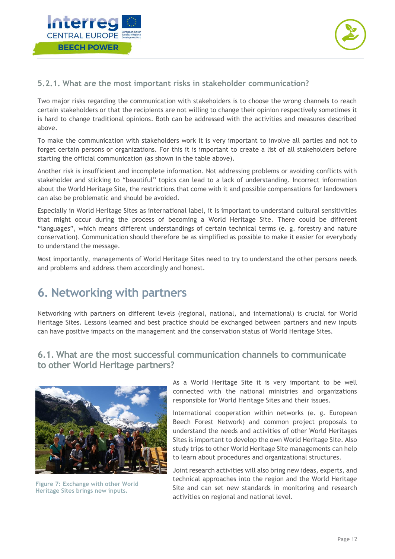



### <span id="page-12-0"></span>**5.2.1. What are the most important risks in stakeholder communication?**

Two major risks regarding the communication with stakeholders is to choose the wrong channels to reach certain stakeholders or that the recipients are not willing to change their opinion respectively sometimes it is hard to change traditional opinions. Both can be addressed with the activities and measures described above.

To make the communication with stakeholders work it is very important to involve all parties and not to forget certain persons or organizations. For this it is important to create a list of all stakeholders before starting the official communication (as shown in the table above).

Another risk is insufficient and incomplete information. Not addressing problems or avoiding conflicts with stakeholder and sticking to "beautiful" topics can lead to a lack of understanding. Incorrect information about the World Heritage Site, the restrictions that come with it and possible compensations for landowners can also be problematic and should be avoided.

Especially in World Heritage Sites as international label, it is important to understand cultural sensitivities that might occur during the process of becoming a World Heritage Site. There could be different "languages", which means different understandings of certain technical terms (e. g. forestry and nature conservation). Communication should therefore be as simplified as possible to make it easier for everybody to understand the message.

Most importantly, managements of World Heritage Sites need to try to understand the other persons needs and problems and address them accordingly and honest.

# <span id="page-12-1"></span>**6. Networking with partners**

Networking with partners on different levels (regional, national, and international) is crucial for World Heritage Sites. Lessons learned and best practice should be exchanged between partners and new inputs can have positive impacts on the management and the conservation status of World Heritage Sites.

### <span id="page-12-2"></span>**6.1. What are the most successful communication channels to communicate to other World Heritage partners?**



**Figure 7: Exchange with other World Heritage Sites brings new inputs.**

As a World Heritage Site it is very important to be well connected with the national ministries and organizations responsible for World Heritage Sites and their issues.

International cooperation within networks (e. g. European Beech Forest Network) and common project proposals to understand the needs and activities of other World Heritages Sites is important to develop the own World Heritage Site. Also study trips to other World Heritage Site managements can help to learn about procedures and organizational structures.

Joint research activities will also bring new ideas, experts, and technical approaches into the region and the World Heritage Site and can set new standards in monitoring and research activities on regional and national level.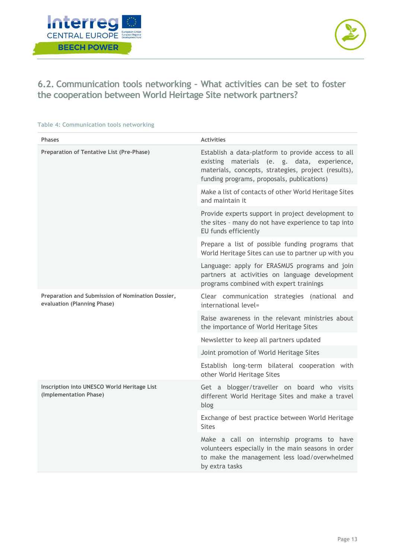



<span id="page-13-0"></span>**6.2. Communication tools networking – What activities can be set to foster the cooperation between World Heirtage Site network partners?**

**Table 4: Communication tools networking**

| <b>Phases</b>                                                                    | <b>Activities</b>                                                                                                                                                                                      |
|----------------------------------------------------------------------------------|--------------------------------------------------------------------------------------------------------------------------------------------------------------------------------------------------------|
| Preparation of Tentative List (Pre-Phase)                                        | Establish a data-platform to provide access to all<br>existing materials (e. g. data, experience,<br>materials, concepts, strategies, project (results),<br>funding programs, proposals, publications) |
|                                                                                  | Make a list of contacts of other World Heritage Sites<br>and maintain it                                                                                                                               |
|                                                                                  | Provide experts support in project development to<br>the sites - many do not have experience to tap into<br>EU funds efficiently                                                                       |
|                                                                                  | Prepare a list of possible funding programs that<br>World Heritage Sites can use to partner up with you                                                                                                |
|                                                                                  | Language: apply for ERASMUS programs and join<br>partners at activities on language development<br>programs combined with expert trainings                                                             |
| Preparation and Submission of Nomination Dossier,<br>evaluation (Planning Phase) | Clear communication strategies (national and<br>international level=                                                                                                                                   |
|                                                                                  | Raise awareness in the relevant ministries about<br>the importance of World Heritage Sites                                                                                                             |
|                                                                                  | Newsletter to keep all partners updated                                                                                                                                                                |
|                                                                                  | Joint promotion of World Heritage Sites                                                                                                                                                                |
|                                                                                  | Establish long-term bilateral cooperation with<br>other World Heritage Sites                                                                                                                           |
| Inscription into UNESCO World Heritage List<br>(Implementation Phase)            | Get a blogger/traveller on board who visits<br>different World Heritage Sites and make a travel<br>blog                                                                                                |
|                                                                                  | Exchange of best practice between World Heritage<br><b>Sites</b>                                                                                                                                       |
|                                                                                  | Make a call on internship programs to have<br>volunteers especially in the main seasons in order<br>to make the management less load/overwhelmed<br>by extra tasks                                     |